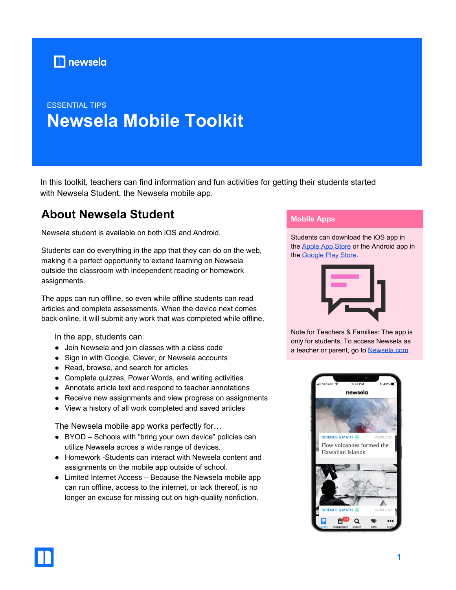

# ESSENTIAL TIPS **Newsela Mobile Toolkit**

In this toolkit, teachers can find information and fun activities for getting their students started with Newsela Student, the Newsela mobile app.

# **About Newsela Student**

Newsela student is available on both iOS and Android.

Students can do everything in the app that they can do on the web, making it a perfect opportunity to extend learning on Newsela outside the classroom with independent reading or homework assignments.

The apps can run offline, so even while offline students can read articles and complete assessments. When the device next comes back online, it will submit any work that was completed while offline.

In the app, students can:

- Join Newsela and join classes with a class code
- Sign in with Google, Clever, or Newsela accounts
- Read, browse, and search for articles
- Complete quizzes, Power Words, and writing activities
- Annotate article text and respond to teacher annotations
- Receive new assignments and view progress on assignments
- View a history of all work completed and saved articles

The Newsela mobile app works perfectly for…

- BYOD Schools with "bring your own device" policies can utilize Newsela across a wide range of devices.
- Homework -Students can interact with Newsela content and assignments on the mobile app outside of school.
- Limited Internet Access Because the Newsela mobile app can run offline, access to the internet, or lack thereof, is no longer an excuse for missing out on high-quality nonfiction.

### **Mobile Apps**

Students can download the iOS app in the [Apple App Store](https://itunes.apple.com/us/app/newsela/id966371321) or the Android app in the [Google Play Store](https://play.google.com/store/apps/details?id=com.newsela.android).



Note for Teachers & Families: The app is only for students. To access Newsela as a teacher or parent, go to [Newsela.com](https://newsela.com/).

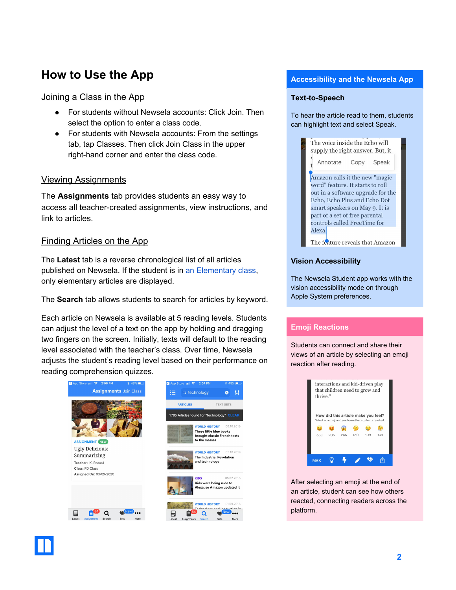# **How to Use the App**

### Joining a Class in the App

- For students without Newsela accounts: Click Join. Then select the option to enter a class code.
- For students with Newsela accounts: From the settings tab, tap Classes. Then click Join Class in the upper right-hand corner and enter the class code.

## Viewing Assignments

The **Assignments** tab provides students an easy way to access all teacher-created assignments, view instructions, and link to articles.

## Finding Articles on the App

The **Latest** tab is a reverse chronological list of all articles published on Newsela. If the student is in [an Elementary class,](https://support.newsela.com/item/supportArticle/classes-tab) only elementary articles are displayed.

The **Search** tab allows students to search for articles by keyword.

Each article on Newsela is available at 5 reading levels. Students can adjust the level of a text on the app by holding and dragging two fingers on the screen. Initially, texts will default to the reading level associated with the teacher's class. Over time, Newsela adjusts the student's reading level based on their performance on reading comprehension quizzes.



#### **Accessibility and the Newsela App**

#### **Text-to-Speech**

To hear the article read to them, students can highlight text and select Speak.



#### **Vision Accessibility**

The Newsela Student app works with the vision accessibility mode on through Apple System preferences.

#### **Emoji Reactions**

Students can connect and share their views of an article by selecting an emoji reaction after reading.



After selecting an emoji at the end of an article, student can see how others reacted, connecting readers across the platform.

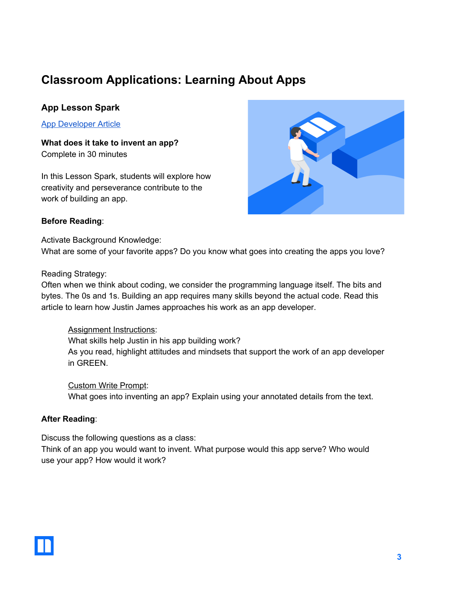# **Classroom Applications: Learning About Apps**

# **App Lesson Spark**

App [Developer](https://newsela.com/read/dream-job-app-developer/id/22988/) Article

**What does it take to invent an app?** Complete in 30 minutes

In this Lesson Spark, students will explore how creativity and perseverance contribute to the work of building an app.



### **Before Reading**:

Activate Background Knowledge: What are some of your favorite apps? Do you know what goes into creating the apps you love?

Reading Strategy:

Often when we think about coding, we consider the programming language itself. The bits and bytes. The 0s and 1s. Building an app requires many skills beyond the actual code. Read this article to learn how Justin James approaches his work as an app developer.

## Assignment Instructions:

What skills help Justin in his app building work? As you read, highlight attitudes and mindsets that support the work of an app developer in GREEN.

Custom Write Prompt: What goes into inventing an app? Explain using your annotated details from the text.

## **After Reading**:

Discuss the following questions as a class:

Think of an app you would want to invent. What purpose would this app serve? Who would use your app? How would it work?